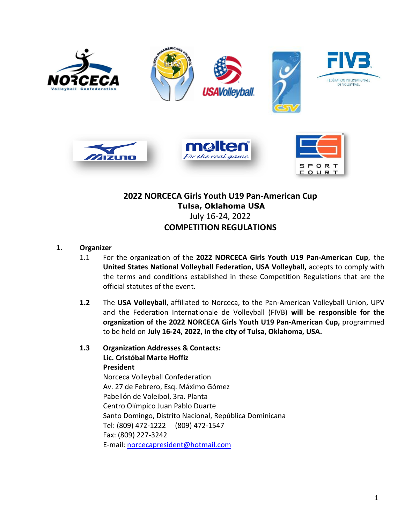

# **2022 NORCECA Girls Youth U19 Pan-American Cup Tulsa, Oklahoma USA**  July 16-24, 2022 **COMPETITION REGULATIONS**

### **1. Organizer**

- 1.1 For the organization of the **2022 NORCECA Girls Youth U19 Pan-American Cup**, the **United States National Volleyball Federation, USA Volleyball,** accepts to comply with the terms and conditions established in these Competition Regulations that are the official statutes of the event.
- **1.2** The **USA Volleyball**, affiliated to Norceca, to the Pan-American Volleyball Union, UPV and the Federation Internationale de Volleyball (FIVB) **will be responsible for the organization of the 2022 NORCECA Girls Youth U19 Pan-American Cup,** programmed to be held on **July 16-24, 2022, in the city of Tulsa, Oklahoma, USA.**
- **1.3 Organization Addresses & Contacts: Lic. Cristóbal Marte Hoffiz President** Norceca Volleyball Confederation Av. 27 de Febrero, Esq. Máximo Gómez Pabellón de Voleibol, 3ra. Planta Centro Olímpico Juan Pablo Duarte Santo Domingo, Distrito Nacional, República Dominicana Tel: (809) 472-1222 (809) 472-1547 Fax: (809) 227-3242 E-mail: [norcecapresident@hotmail.com](mailto:norcecapresident@hotmail.com)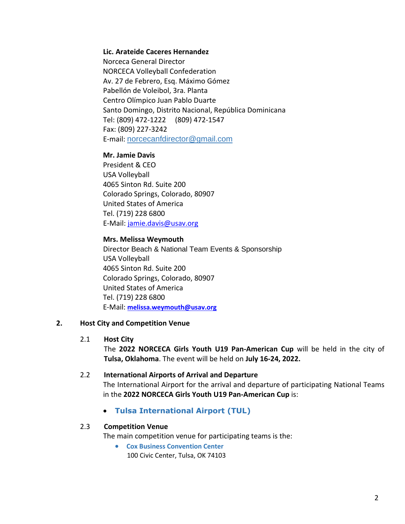#### **Lic. Arateide Caceres Hernandez**

 Norceca General Director NORCECA Volleyball Confederation Av. 27 de Febrero, Esq. Máximo Gómez Pabellón de Voleibol, 3ra. Planta Centro Olímpico Juan Pablo Duarte Santo Domingo, Distrito Nacional, República Dominicana Tel: (809) 472-1222 (809) 472-1547 Fax: (809) 227-3242 E-mail: norcecanfdirector@gmail.com

#### **Mr. Jamie Davis**

 President & CEO USA Volleyball 4065 Sinton Rd. Suite 200 Colorado Springs, Colorado, 80907 United States of America Tel. (719) 228 6800 E-Mail: [jamie.davis@usav.org](mailto:jamie.davis@usav.org)

#### **Mrs. Melissa Weymouth**

Director Beach & National Team Events & Sponsorship USA Volleyball 4065 Sinton Rd. Suite 200 Colorado Springs, Colorado, 80907 United States of America Tel. (719) 228 6800 E-Mail: **[melissa.weymouth@usav.org](mailto:melissa.weymouth@usav.org)**

#### **2. Host City and Competition Venue**

#### 2.1 **Host City**

The **2022 NORCECA Girls Youth U19 Pan-American Cup** will be held in the city of **Tulsa, Oklahoma**. The event will be held on **July 16-24, 2022.**

#### 2.2 **International Airports of Arrival and Departure**

The International Airport for the arrival and departure of participating National Teams in the **2022 NORCECA Girls Youth U19 Pan-American Cup** is:

• **Tulsa International Airport (TUL)**

#### 2.3 **Competition Venue**

The main competition venue for participating teams is the:

• **Cox Business Convention Center** 100 Civic Center, Tulsa, OK 74103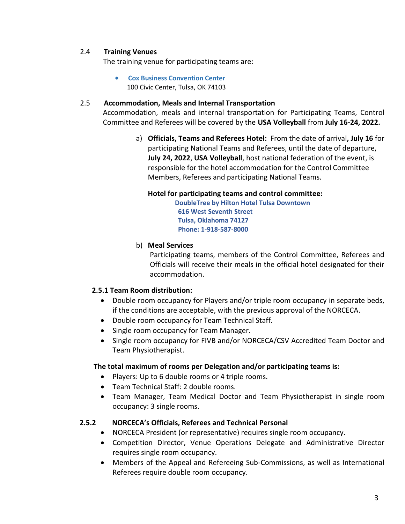### 2.4 **Training Venues**

The training venue for participating teams are:

• **Cox Business Convention Center** 100 Civic Center, Tulsa, OK 74103

#### 2.5 **Accommodation, Meals and Internal Transportation**

Accommodation, meals and internal transportation for Participating Teams, Control Committee and Referees will be covered by the **USA Volleyball** from **July 16-24, 2022.**

> a) **Officials, Teams and Referees Hotel:** From the date of arrival**, July 16** for participating National Teams and Referees, until the date of departure, **July 24, 2022**, **USA Volleyball**, host national federation of the event, is responsible for the hotel accommodation for the Control Committee Members, Referees and participating National Teams.

#### **Hotel for participating teams and control committee:**

 **DoubleTree by Hilton Hotel Tulsa Downtown 616 West Seventh Street Tulsa, Oklahoma 74127 Phone: 1-918-587-8000**

#### b) **Meal Services**

Participating teams, members of the Control Committee, Referees and Officials will receive their meals in the official hotel designated for their accommodation.

#### **2.5.1 Team Room distribution:**

- Double room occupancy for Players and/or triple room occupancy in separate beds, if the conditions are acceptable, with the previous approval of the NORCECA.
- Double room occupancy for Team Technical Staff.
- Single room occupancy for Team Manager.
- Single room occupancy for FIVB and/or NORCECA/CSV Accredited Team Doctor and Team Physiotherapist.

#### **The total maximum of rooms per Delegation and/or participating teams is:**

- Players: Up to 6 double rooms or 4 triple rooms.
- Team Technical Staff: 2 double rooms.
- Team Manager, Team Medical Doctor and Team Physiotherapist in single room occupancy: 3 single rooms.

#### **2.5.2 NORCECA's Officials, Referees and Technical Personal**

- NORCECA President (or representative) requires single room occupancy.
- Competition Director, Venue Operations Delegate and Administrative Director requires single room occupancy.
- Members of the Appeal and Refereeing Sub-Commissions, as well as International Referees require double room occupancy.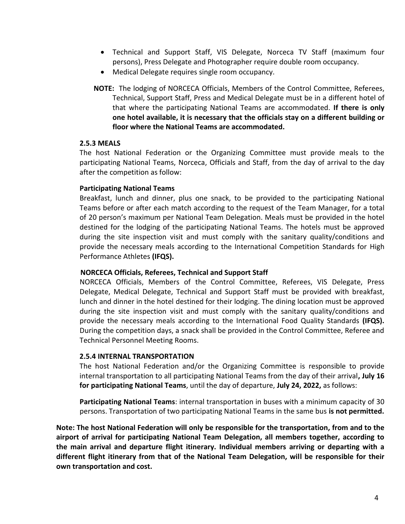- Technical and Support Staff, VIS Delegate, Norceca TV Staff (maximum four persons), Press Delegate and Photographer require double room occupancy.
- Medical Delegate requires single room occupancy.
- **NOTE:** The lodging of NORCECA Officials, Members of the Control Committee, Referees, Technical, Support Staff, Press and Medical Delegate must be in a different hotel of that where the participating National Teams are accommodated. **If there is only one hotel available, it is necessary that the officials stay on a different building or floor where the National Teams are accommodated.**

### **2.5.3 MEALS**

The host National Federation or the Organizing Committee must provide meals to the participating National Teams, Norceca, Officials and Staff, from the day of arrival to the day after the competition as follow:

#### **Participating National Teams**

Breakfast, lunch and dinner, plus one snack, to be provided to the participating National Teams before or after each match according to the request of the Team Manager, for a total of 20 person's maximum per National Team Delegation. Meals must be provided in the hotel destined for the lodging of the participating National Teams. The hotels must be approved during the site inspection visit and must comply with the sanitary quality/conditions and provide the necessary meals according to the International Competition Standards for High Performance Athletes **(IFQS).**

#### **NORCECA Officials, Referees, Technical and Support Staff**

NORCECA Officials, Members of the Control Committee, Referees, VIS Delegate, Press Delegate, Medical Delegate, Technical and Support Staff must be provided with breakfast, lunch and dinner in the hotel destined for their lodging. The dining location must be approved during the site inspection visit and must comply with the sanitary quality/conditions and provide the necessary meals according to the International Food Quality Standards **(IFQS).** During the competition days, a snack shall be provided in the Control Committee, Referee and Technical Personnel Meeting Rooms.

#### **2.5.4 INTERNAL TRANSPORTATION**

The host National Federation and/or the Organizing Committee is responsible to provide internal transportation to all participating National Teams from the day of their arrival**, July 16 for participating National Teams**, until the day of departure, **July 24, 2022,** as follows:

**Participating National Teams**: internal transportation in buses with a minimum capacity of 30 persons. Transportation of two participating National Teams in the same bus **is not permitted.**

**Note: The host National Federation will only be responsible for the transportation, from and to the airport of arrival for participating National Team Delegation, all members together, according to the main arrival and departure flight itinerary. Individual members arriving or departing with a different flight itinerary from that of the National Team Delegation, will be responsible for their own transportation and cost.**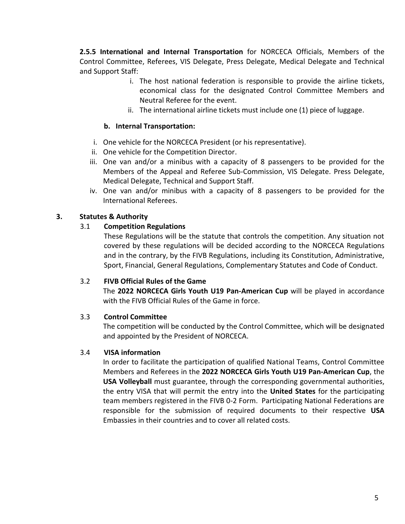**2.5.5 International and Internal Transportation** for NORCECA Officials, Members of the Control Committee, Referees, VIS Delegate, Press Delegate, Medical Delegate and Technical and Support Staff:

- i. The host national federation is responsible to provide the airline tickets, economical class for the designated Control Committee Members and Neutral Referee for the event.
- ii. The international airline tickets must include one (1) piece of luggage.

### **b. Internal Transportation:**

- i. One vehicle for the NORCECA President (or his representative).
- ii. One vehicle for the Competition Director.
- iii. One van and/or a minibus with a capacity of 8 passengers to be provided for the Members of the Appeal and Referee Sub-Commission, VIS Delegate. Press Delegate, Medical Delegate, Technical and Support Staff.
- iv. One van and/or minibus with a capacity of 8 passengers to be provided for the International Referees.

# **3. Statutes & Authority**

# 3.1 **Competition Regulations**

These Regulations will be the statute that controls the competition. Any situation not covered by these regulations will be decided according to the NORCECA Regulations and in the contrary, by the FIVB Regulations, including its Constitution, Administrative, Sport, Financial, General Regulations, Complementary Statutes and Code of Conduct.

# 3.2 **FIVB Official Rules of the Game**

The **2022 NORCECA Girls Youth U19 Pan-American Cup** will be played in accordance with the FIVB Official Rules of the Game in force.

# 3.3 **Control Committee**

The competition will be conducted by the Control Committee, which will be designated and appointed by the President of NORCECA.

# 3.4 **VISA information**

In order to facilitate the participation of qualified National Teams, Control Committee Members and Referees in the **2022 NORCECA Girls Youth U19 Pan-American Cup**, the **USA Volleyball** must guarantee, through the corresponding governmental authorities, the entry VISA that will permit the entry into the **United States** for the participating team members registered in the FIVB 0-2 Form. Participating National Federations are responsible for the submission of required documents to their respective **USA**  Embassies in their countries and to cover all related costs.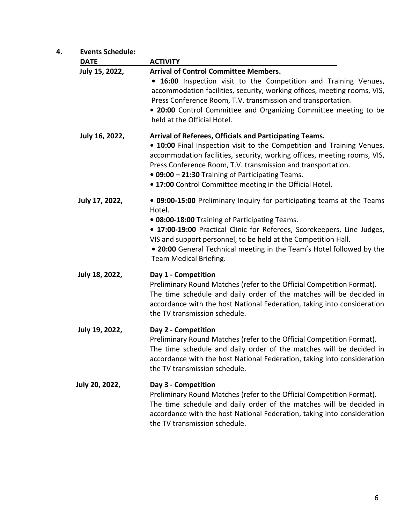| 4. | <b>Events Schedule:</b> |                                                                                                                                                                                                                                                                                                                                                                                               |
|----|-------------------------|-----------------------------------------------------------------------------------------------------------------------------------------------------------------------------------------------------------------------------------------------------------------------------------------------------------------------------------------------------------------------------------------------|
|    | <b>DATE</b>             | <b>ACTIVITY</b>                                                                                                                                                                                                                                                                                                                                                                               |
|    | July 15, 2022,          | <b>Arrival of Control Committee Members.</b><br>• 16:00 Inspection visit to the Competition and Training Venues,<br>accommodation facilities, security, working offices, meeting rooms, VIS,<br>Press Conference Room, T.V. transmission and transportation.<br>• 20:00 Control Committee and Organizing Committee meeting to be<br>held at the Official Hotel.                               |
|    | July 16, 2022,          | Arrival of Referees, Officials and Participating Teams.<br>• 10:00 Final Inspection visit to the Competition and Training Venues,<br>accommodation facilities, security, working offices, meeting rooms, VIS,<br>Press Conference Room, T.V. transmission and transportation.<br>• 09:00 - 21:30 Training of Participating Teams.<br>. 17:00 Control Committee meeting in the Official Hotel. |
|    | July 17, 2022,          | . 09:00-15:00 Preliminary Inquiry for participating teams at the Teams<br>Hotel.<br>.08:00-18:00 Training of Participating Teams.<br>• 17:00-19:00 Practical Clinic for Referees, Scorekeepers, Line Judges,<br>VIS and support personnel, to be held at the Competition Hall.<br>. 20:00 General Technical meeting in the Team's Hotel followed by the<br>Team Medical Briefing.             |
|    | July 18, 2022,          | Day 1 - Competition<br>Preliminary Round Matches (refer to the Official Competition Format).<br>The time schedule and daily order of the matches will be decided in<br>accordance with the host National Federation, taking into consideration<br>the TV transmission schedule.                                                                                                               |
|    | July 19, 2022,          | Day 2 - Competition<br>Preliminary Round Matches (refer to the Official Competition Format).<br>The time schedule and daily order of the matches will be decided in<br>accordance with the host National Federation, taking into consideration<br>the TV transmission schedule.                                                                                                               |
|    | July 20, 2022,          | Day 3 - Competition<br>Preliminary Round Matches (refer to the Official Competition Format).<br>The time schedule and daily order of the matches will be decided in<br>accordance with the host National Federation, taking into consideration<br>the TV transmission schedule.                                                                                                               |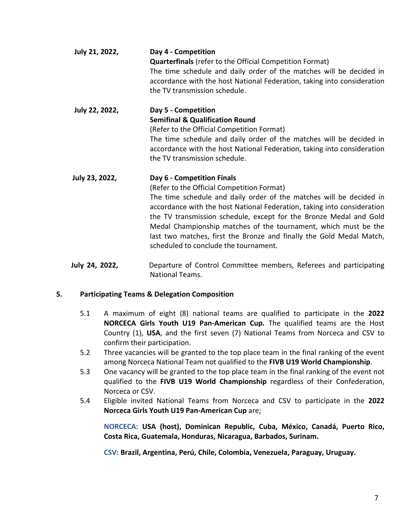| July 21, 2022, | Day 4 - Competition<br><b>Quarterfinals</b> (refer to the Official Competition Format)<br>The time schedule and daily order of the matches will be decided in<br>accordance with the host National Federation, taking into consideration<br>the TV transmission schedule.                                                                                                                                                                                                            |
|----------------|--------------------------------------------------------------------------------------------------------------------------------------------------------------------------------------------------------------------------------------------------------------------------------------------------------------------------------------------------------------------------------------------------------------------------------------------------------------------------------------|
| July 22, 2022, | Day 5 - Competition<br><b>Semifinal &amp; Qualification Round</b><br>(Refer to the Official Competition Format)<br>The time schedule and daily order of the matches will be decided in<br>accordance with the host National Federation, taking into consideration<br>the TV transmission schedule.                                                                                                                                                                                   |
| July 23, 2022, | Day 6 - Competition Finals<br>(Refer to the Official Competition Format)<br>The time schedule and daily order of the matches will be decided in<br>accordance with the host National Federation, taking into consideration<br>the TV transmission schedule, except for the Bronze Medal and Gold<br>Medal Championship matches of the tournament, which must be the<br>last two matches, first the Bronze and finally the Gold Medal Match,<br>scheduled to conclude the tournament. |
| 1. . I. . 91   | Denarture of Cantrol Cammittee mambers, Deferees and narticipating                                                                                                                                                                                                                                                                                                                                                                                                                   |

**July 24, 2022,** Departure of Control Committee members, Referees and participating National Teams.

# **5. Participating Teams & Delegation Composition**

- 5.1 A maximum of eight (8) national teams are qualified to participate in the **2022 NORCECA Girls Youth U19 Pan-American Cup.** The qualified teams are the Host Country (1), **USA**, and the first seven (7) National Teams from Norceca and CSV to confirm their participation.
- 5.2 Three vacancies will be granted to the top place team in the final ranking of the event among Norceca National Team not qualified to the **FIVB U19 World Championship**.
- 5.3 One vacancy will be granted to the top place team in the final ranking of the event not qualified to the **FIVB U19 World Championship** regardless of their Confederation, Norceca or CSV.
- 5.4 Eligible invited National Teams from Norceca and CSV to participate in the **2022 Norceca Girls Youth U19 Pan-American Cup** are;

**NORCECA: USA (host), Dominican Republic, Cuba, México, Canadá, Puerto Rico, Costa Rica, Guatemala, Honduras, Nicaragua, Barbados, Surinam.**

**CSV: Brazil, Argentina, Perú, Chile, Colombia, Venezuela, Paraguay, Uruguay.**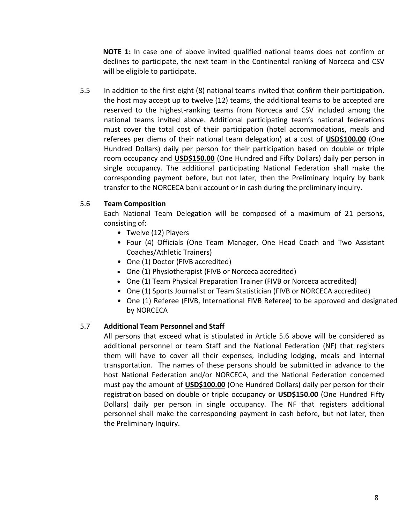**NOTE 1:** In case one of above invited qualified national teams does not confirm or declines to participate, the next team in the Continental ranking of Norceca and CSV will be eligible to participate.

5.5 In addition to the first eight (8) national teams invited that confirm their participation, the host may accept up to twelve (12) teams, the additional teams to be accepted are reserved to the highest-ranking teams from Norceca and CSV included among the national teams invited above. Additional participating team's national federations must cover the total cost of their participation (hotel accommodations, meals and referees per diems of their national team delegation) at a cost of **USD\$100.00** (One Hundred Dollars) daily per person for their participation based on double or triple room occupancy and **USD\$150.00** (One Hundred and Fifty Dollars) daily per person in single occupancy. The additional participating National Federation shall make the corresponding payment before, but not later, then the Preliminary Inquiry by bank transfer to the NORCECA bank account or in cash during the preliminary inquiry.

# 5.6 **Team Composition**

Each National Team Delegation will be composed of a maximum of 21 persons, consisting of:

- Twelve (12) Players
- Four (4) Officials (One Team Manager, One Head Coach and Two Assistant Coaches/Athletic Trainers)
- One (1) Doctor (FIVB accredited)
- One (1) Physiotherapist (FIVB or Norceca accredited)
- One (1) Team Physical Preparation Trainer (FIVB or Norceca accredited)
- One (1) Sports Journalist or Team Statistician (FIVB or NORCECA accredited)
- One (1) Referee (FIVB, International FIVB Referee) to be approved and designated by NORCECA

#### 5.7 **Additional Team Personnel and Staff**

All persons that exceed what is stipulated in Article 5.6 above will be considered as additional personnel or team Staff and the National Federation (NF) that registers them will have to cover all their expenses, including lodging, meals and internal transportation. The names of these persons should be submitted in advance to the host National Federation and/or NORCECA, and the National Federation concerned must pay the amount of **USD\$100.00** (One Hundred Dollars) daily per person for their registration based on double or triple occupancy or **USD\$150.00** (One Hundred Fifty Dollars) daily per person in single occupancy. The NF that registers additional personnel shall make the corresponding payment in cash before, but not later, then the Preliminary Inquiry.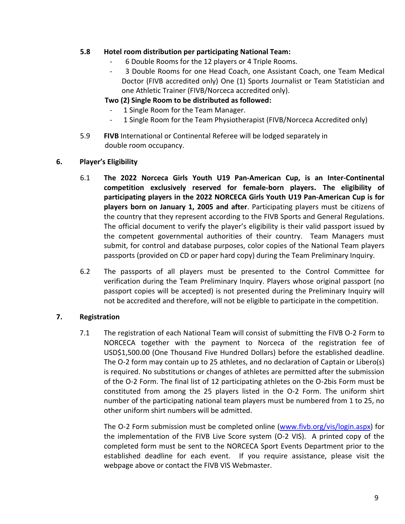### **5.8 Hotel room distribution per participating National Team:**

- 6 Double Rooms for the 12 players or 4 Triple Rooms.
- 3 Double Rooms for one Head Coach, one Assistant Coach, one Team Medical Doctor (FIVB accredited only) One (1) Sports Journalist or Team Statistician and one Athletic Trainer (FIVB/Norceca accredited only).

# **Two (2) Single Room to be distributed as followed:**

- 1 Single Room for the Team Manager.
- 1 Single Room for the Team Physiotherapist (FIVB/Norceca Accredited only)
- 5.9 **FIVB** International or Continental Referee will be lodged separately in double room occupancy.
- **6. Player's Eligibility**
	- 6.1 **The 2022 Norceca Girls Youth U19 Pan-American Cup, is an Inter-Continental competition exclusively reserved for female-born players. The eligibility of participating players in the 2022 NORCECA Girls Youth U19 Pan-American Cup is for players born on January 1, 2005 and after**. Participating players must be citizens of the country that they represent according to the FIVB Sports and General Regulations. The official document to verify the player's eligibility is their valid passport issued by the competent governmental authorities of their country. Team Managers must submit, for control and database purposes, color copies of the National Team players passports (provided on CD or paper hard copy) during the Team Preliminary Inquiry.
	- 6.2 The passports of all players must be presented to the Control Committee for verification during the Team Preliminary Inquiry. Players whose original passport (no passport copies will be accepted) is not presented during the Preliminary Inquiry will not be accredited and therefore, will not be eligible to participate in the competition.

# **7. Registration**

7.1 The registration of each National Team will consist of submitting the FIVB O-2 Form to NORCECA together with the payment to Norceca of the registration fee of USD\$1,500.00 (One Thousand Five Hundred Dollars) before the established deadline. The O-2 form may contain up to 25 athletes, and no declaration of Captain or Libero(s) is required. No substitutions or changes of athletes are permitted after the submission of the O-2 Form. The final list of 12 participating athletes on the O-2bis Form must be constituted from among the 25 players listed in the O-2 Form. The uniform shirt number of the participating national team players must be numbered from 1 to 25, no other uniform shirt numbers will be admitted.

The O-2 Form submission must be completed online [\(www.fivb.org/vis/login.aspx\)](http://www.fivb.org/vis/login.aspx) for the implementation of the FIVB Live Score system (O-2 VIS). A printed copy of the completed form must be sent to the NORCECA Sport Events Department prior to the established deadline for each event. If you require assistance, please visit the webpage above or contact the FIVB VIS Webmaster.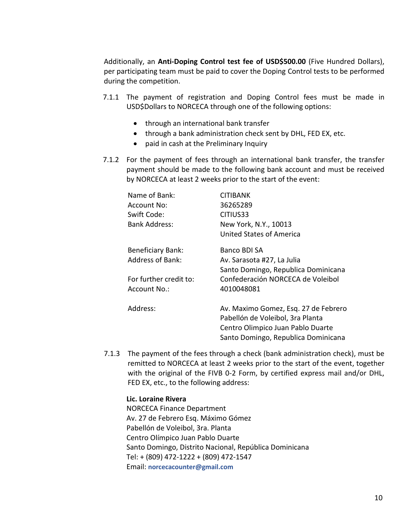Additionally, an **Anti-Doping Control test fee of USD\$500.00** (Five Hundred Dollars), per participating team must be paid to cover the Doping Control tests to be performed during the competition.

- 7.1.1 The payment of registration and Doping Control fees must be made in USD\$Dollars to NORCECA through one of the following options:
	- through an international bank transfer
	- through a bank administration check sent by DHL, FED EX, etc.
	- paid in cash at the Preliminary Inquiry
- 7.1.2 For the payment of fees through an international bank transfer, the transfer payment should be made to the following bank account and must be received by NORCECA at least 2 weeks prior to the start of the event:

| Name of Bank:            | CITIBANK                             |
|--------------------------|--------------------------------------|
| Account No:              | 36265289                             |
| Swift Code:              | CITIUS33                             |
| <b>Bank Address:</b>     | New York, N.Y., 10013                |
|                          | United States of America             |
| <b>Beneficiary Bank:</b> | Banco BDI SA                         |
| <b>Address of Bank:</b>  | Av. Sarasota #27, La Julia           |
|                          | Santo Domingo, Republica Dominicana  |
| For further credit to:   | Confederación NORCECA de Voleibol    |
| Account No.:             | 4010048081                           |
| Address:                 | Av. Maximo Gomez, Esq. 27 de Febrero |
|                          | Pabellón de Voleibol, 3ra Planta     |
|                          | Centro Olimpico Juan Pablo Duarte    |
|                          | Santo Domingo, Republica Dominicana  |

7.1.3 The payment of the fees through a check (bank administration check), must be remitted to NORCECA at least 2 weeks prior to the start of the event, together with the original of the FIVB 0-2 Form, by certified express mail and/or DHL, FED EX, etc., to the following address:

#### **Lic. Loraine Rivera**

NORCECA Finance Department Av. 27 de Febrero Esq. Máximo Gómez Pabellón de Voleibol, 3ra. Planta Centro Olímpico Juan Pablo Duarte Santo Domingo, Distrito Nacional, República Dominicana Tel: + (809) 472-1222 + (809) 472-1547 Email: **norcecacounter@gmail.com**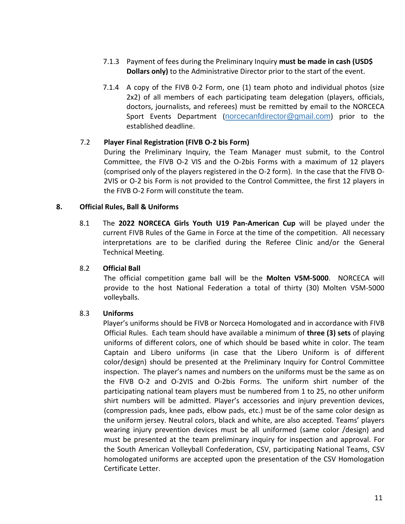- 7.1.3 Payment of fees during the Preliminary Inquiry **must be made in cash (USD\$ Dollars only)** to the Administrative Director prior to the start of the event.
- 7.1.4 A copy of the FIVB 0-2 Form, one (1) team photo and individual photos (size 2x2) of all members of each participating team delegation (players, officials, doctors, journalists, and referees) must be remitted by email to the NORCECA Sport Events Department (norcecanfdirector@gmail.com) prior to the established deadline.

# 7.2 **Player Final Registration (FIVB O-2 bis Form)**

During the Preliminary Inquiry, the Team Manager must submit, to the Control Committee, the FIVB O-2 VIS and the O-2bis Forms with a maximum of 12 players (comprised only of the players registered in the O-2 form). In the case that the FIVB O-2VIS or O-2 bis Form is not provided to the Control Committee, the first 12 players in the FIVB O-2 Form will constitute the team.

### **8. Official Rules, Ball & Uniforms**

8.1 The **2022 NORCECA Girls Youth U19 Pan-American Cup** will be played under the current FIVB Rules of the Game in Force at the time of the competition. All necessary interpretations are to be clarified during the Referee Clinic and/or the General Technical Meeting.

#### 8.2 **Official Ball**

The official competition game ball will be the **Molten V5M-5000**. NORCECA will provide to the host National Federation a total of thirty (30) Molten V5M-5000 volleyballs.

#### 8.3 **Uniforms**

 Player's uniforms should be FIVB or Norceca Homologated and in accordance with FIVB Official Rules. Each team should have available a minimum of **three (3) sets** of playing uniforms of different colors, one of which should be based white in color. The team Captain and Libero uniforms (in case that the Libero Uniform is of different color/design) should be presented at the Preliminary Inquiry for Control Committee inspection. The player's names and numbers on the uniforms must be the same as on the FIVB O-2 and O-2VIS and O-2bis Forms. The uniform shirt number of the participating national team players must be numbered from 1 to 25, no other uniform shirt numbers will be admitted. Player's accessories and injury prevention devices, (compression pads, knee pads, elbow pads, etc.) must be of the same color design as the uniform jersey. Neutral colors, black and white, are also accepted. Teams' players wearing injury prevention devices must be all uniformed (same color /design) and must be presented at the team preliminary inquiry for inspection and approval. For the South American Volleyball Confederation, CSV, participating National Teams, CSV homologated uniforms are accepted upon the presentation of the CSV Homologation Certificate Letter.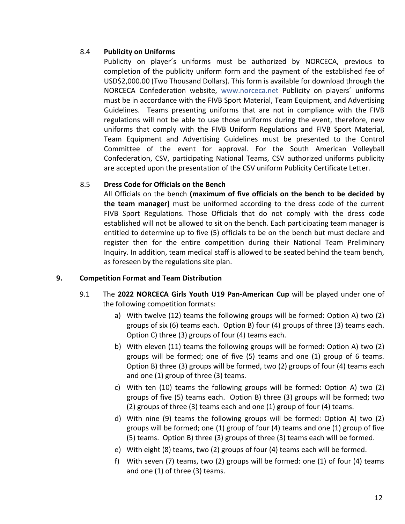# 8.4 **Publicity on Uniforms**

Publicity on player´s uniforms must be authorized by NORCECA, previous to completion of the publicity uniform form and the payment of the established fee of USD\$2,000.00 (Two Thousand Dollars). This form is available for download through the NORCECA Confederation website, www.norceca.net Publicity on players´ uniforms must be in accordance with the FIVB Sport Material, Team Equipment, and Advertising Guidelines. Teams presenting uniforms that are not in compliance with the FIVB regulations will not be able to use those uniforms during the event, therefore, new uniforms that comply with the FIVB Uniform Regulations and FIVB Sport Material, Team Equipment and Advertising Guidelines must be presented to the Control Committee of the event for approval. For the South American Volleyball Confederation, CSV, participating National Teams, CSV authorized uniforms publicity are accepted upon the presentation of the CSV uniform Publicity Certificate Letter.

### 8.5 **Dress Code for Officials on the Bench**

All Officials on the bench **(maximum of five officials on the bench to be decided by the team manager)** must be uniformed according to the dress code of the current FIVB Sport Regulations. Those Officials that do not comply with the dress code established will not be allowed to sit on the bench. Each participating team manager is entitled to determine up to five (5) officials to be on the bench but must declare and register then for the entire competition during their National Team Preliminary Inquiry. In addition, team medical staff is allowed to be seated behind the team bench, as foreseen by the regulations site plan.

# **9. Competition Format and Team Distribution**

- 9.1 The **2022 NORCECA Girls Youth U19 Pan-American Cup** will be played under one of the following competition formats:
	- a) With twelve (12) teams the following groups will be formed: Option A) two (2) groups of six (6) teams each. Option B) four (4) groups of three (3) teams each. Option C) three (3) groups of four (4) teams each.
	- b) With eleven (11) teams the following groups will be formed: Option A) two (2) groups will be formed; one of five (5) teams and one (1) group of 6 teams. Option B) three (3) groups will be formed, two (2) groups of four (4) teams each and one (1) group of three (3) teams.
	- c) With ten (10) teams the following groups will be formed: Option A) two (2) groups of five (5) teams each. Option B) three (3) groups will be formed; two (2) groups of three (3) teams each and one (1) group of four (4) teams.
	- d) With nine (9) teams the following groups will be formed: Option A) two (2) groups will be formed; one (1) group of four (4) teams and one (1) group of five (5) teams. Option B) three (3) groups of three (3) teams each will be formed.
	- e) With eight (8) teams, two (2) groups of four (4) teams each will be formed.
	- f) With seven (7) teams, two (2) groups will be formed: one (1) of four (4) teams and one (1) of three (3) teams.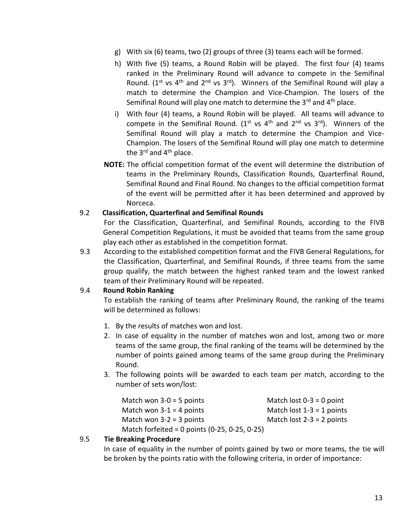- g) With six (6) teams, two (2) groups of three (3) teams each will be formed.
- h) With five (5) teams, a Round Robin will be played. The first four (4) teams ranked in the Preliminary Round will advance to compete in the Semifinal Round. ( $1^{st}$  vs  $4^{th}$  and  $2^{nd}$  vs  $3^{rd}$ ). Winners of the Semifinal Round will play a match to determine the Champion and Vice-Champion. The losers of the Semifinal Round will play one match to determine the  $3^{rd}$  and  $4^{th}$  place.
- i) With four (4) teams, a Round Robin will be played. All teams will advance to compete in the Semifinal Round. ( $1^{st}$  vs  $4^{th}$  and  $2^{nd}$  vs  $3^{rd}$ ). Winners of the Semifinal Round will play a match to determine the Champion and Vice-Champion. The losers of the Semifinal Round will play one match to determine the  $3^{rd}$  and  $4^{th}$  place.
- **NOTE:** The official competition format of the event will determine the distribution of teams in the Preliminary Rounds, Classification Rounds, Quarterfinal Round, Semifinal Round and Final Round. No changes to the official competition format of the event will be permitted after it has been determined and approved by Norceca.

### 9.2 **Classification, Quarterfinal and Semifinal Rounds**

For the Classification, Quarterfinal, and Semifinal Rounds, according to the FIVB General Competition Regulations, it must be avoided that teams from the same group play each other as established in the competition format.

9.3 According to the established competition format and the FIVB General Regulations, for the Classification, Quarterfinal, and Semifinal Rounds, if three teams from the same group qualify, the match between the highest ranked team and the lowest ranked team of their Preliminary Round will be repeated.

# 9.4 **Round Robin Ranking**

To establish the ranking of teams after Preliminary Round, the ranking of the teams will be determined as follows:

- 1. By the results of matches won and lost.
- 2. In case of equality in the number of matches won and lost, among two or more teams of the same group, the final ranking of the teams will be determined by the number of points gained among teams of the same group during the Preliminary Round.
- 3. The following points will be awarded to each team per match, according to the number of sets won/lost:

| Match won $3-0 = 5$ points                      | Match lost $0-3 = 0$ point  |
|-------------------------------------------------|-----------------------------|
| Match won $3-1 = 4$ points                      | Match lost $1-3 = 1$ points |
| Match won $3-2 = 3$ points                      | Match lost $2-3 = 2$ points |
| Match forfeited = 0 points $(0-25, 0-25, 0-25)$ |                             |

#### 9.5 **Tie Breaking Procedure**

In case of equality in the number of points gained by two or more teams, the tie will be broken by the points ratio with the following criteria, in order of importance: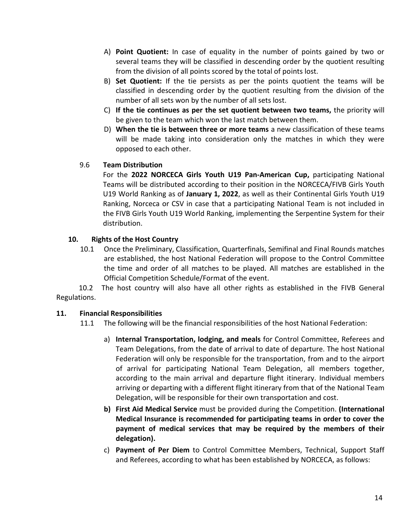- A) **Point Quotient:** In case of equality in the number of points gained by two or several teams they will be classified in descending order by the quotient resulting from the division of all points scored by the total of points lost.
- B) **Set Quotient:** If the tie persists as per the points quotient the teams will be classified in descending order by the quotient resulting from the division of the number of all sets won by the number of all sets lost.
- C) **If the tie continues as per the set quotient between two teams,** the priority will be given to the team which won the last match between them.
- D) **When the tie is between three or more teams** a new classification of these teams will be made taking into consideration only the matches in which they were opposed to each other.

# 9.6 **Team Distribution**

For the **2022 NORCECA Girls Youth U19 Pan-American Cup,** participating National Teams will be distributed according to their position in the NORCECA/FIVB Girls Youth U19 World Ranking as of **January 1, 2022**, as well as their Continental Girls Youth U19 Ranking, Norceca or CSV in case that a participating National Team is not included in the FIVB Girls Youth U19 World Ranking, implementing the Serpentine System for their distribution.

# **10. Rights of the Host Country**

10.1 Once the Preliminary, Classification, Quarterfinals, Semifinal and Final Rounds matches are established, the host National Federation will propose to the Control Committee the time and order of all matches to be played. All matches are established in the Official Competition Schedule/Format of the event.

 10.2 The host country will also have all other rights as established in the FIVB General Regulations.

# **11. Financial Responsibilities**

11.1 The following will be the financial responsibilities of the host National Federation:

- a) **Internal Transportation, lodging, and meals** for Control Committee, Referees and Team Delegations, from the date of arrival to date of departure. The host National Federation will only be responsible for the transportation, from and to the airport of arrival for participating National Team Delegation, all members together, according to the main arrival and departure flight itinerary. Individual members arriving or departing with a different flight itinerary from that of the National Team Delegation, will be responsible for their own transportation and cost.
- **b) First Aid Medical Service** must be provided during the Competition. **(International Medical Insurance is recommended for participating teams in order to cover the payment of medical services that may be required by the members of their delegation).**
- c) **Payment of Per Diem** to Control Committee Members, Technical, Support Staff and Referees, according to what has been established by NORCECA, as follows: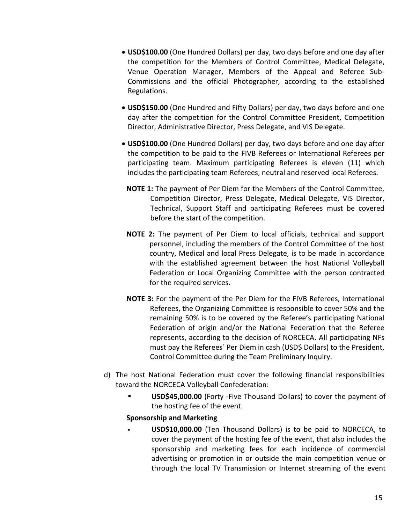- **USD\$100.00** (One Hundred Dollars) per day, two days before and one day after the competition for the Members of Control Committee, Medical Delegate, Venue Operation Manager, Members of the Appeal and Referee Sub-Commissions and the official Photographer, according to the established Regulations.
- **USD\$150.00** (One Hundred and Fifty Dollars) per day, two days before and one day after the competition for the Control Committee President, Competition Director, Administrative Director, Press Delegate, and VIS Delegate.
- **USD\$100.00** (One Hundred Dollars) per day, two days before and one day after the competition to be paid to the FIVB Referees or International Referees per participating team. Maximum participating Referees is eleven (11) which includes the participating team Referees, neutral and reserved local Referees.
	- **NOTE 1:** The payment of Per Diem for the Members of the Control Committee, Competition Director, Press Delegate, Medical Delegate, VIS Director, Technical, Support Staff and participating Referees must be covered before the start of the competition.
	- **NOTE 2:** The payment of Per Diem to local officials, technical and support personnel, including the members of the Control Committee of the host country, Medical and local Press Delegate, is to be made in accordance with the established agreement between the host National Volleyball Federation or Local Organizing Committee with the person contracted for the required services.
	- **NOTE 3:** For the payment of the Per Diem for the FIVB Referees, International Referees, the Organizing Committee is responsible to cover 50% and the remaining 50% is to be covered by the Referee's participating National Federation of origin and/or the National Federation that the Referee represents, according to the decision of NORCECA. All participating NFs must pay the Referees´ Per Diem in cash (USD\$ Dollars) to the President, Control Committee during the Team Preliminary Inquiry.
- d) The host National Federation must cover the following financial responsibilities toward the NORCECA Volleyball Confederation:
	- **USD\$45,000.00** (Forty -Five Thousand Dollars) to cover the payment of the hosting fee of the event.

# **Sponsorship and Marketing**

**USD\$10,000.00** (Ten Thousand Dollars) is to be paid to NORCECA, to cover the payment of the hosting fee of the event, that also includes the sponsorship and marketing fees for each incidence of commercial advertising or promotion in or outside the main competition venue or through the local TV Transmission or Internet streaming of the event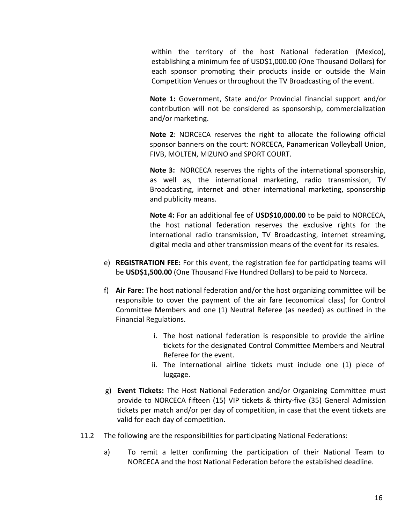within the territory of the host National federation (Mexico), establishing a minimum fee of USD\$1,000.00 (One Thousand Dollars) for each sponsor promoting their products inside or outside the Main Competition Venues or throughout the TV Broadcasting of the event.

**Note 1:** Government, State and/or Provincial financial support and/or contribution will not be considered as sponsorship, commercialization and/or marketing.

**Note 2**: NORCECA reserves the right to allocate the following official sponsor banners on the court: NORCECA, Panamerican Volleyball Union, FIVB, MOLTEN, MIZUNO and SPORT COURT.

**Note 3:** NORCECA reserves the rights of the international sponsorship, as well as, the international marketing, radio transmission, TV Broadcasting, internet and other international marketing, sponsorship and publicity means.

**Note 4:** For an additional fee of **USD\$10,000.00** to be paid to NORCECA, the host national federation reserves the exclusive rights for the international radio transmission, TV Broadcasting, internet streaming, digital media and other transmission means of the event for its resales.

- e) **REGISTRATION FEE:** For this event, the registration fee for participating teams will be **USD\$1,500.00** (One Thousand Five Hundred Dollars) to be paid to Norceca.
- f) **Air Fare:** The host national federation and/or the host organizing committee will be responsible to cover the payment of the air fare (economical class) for Control Committee Members and one (1) Neutral Referee (as needed) as outlined in the Financial Regulations.
	- i. The host national federation is responsible to provide the airline tickets for the designated Control Committee Members and Neutral Referee for the event.
	- ii. The international airline tickets must include one (1) piece of luggage.
- g) **Event Tickets:** The Host National Federation and/or Organizing Committee must provide to NORCECA fifteen (15) VIP tickets & thirty-five (35) General Admission tickets per match and/or per day of competition, in case that the event tickets are valid for each day of competition.
- 11.2 The following are the responsibilities for participating National Federations:
	- a) To remit a letter confirming the participation of their National Team to NORCECA and the host National Federation before the established deadline.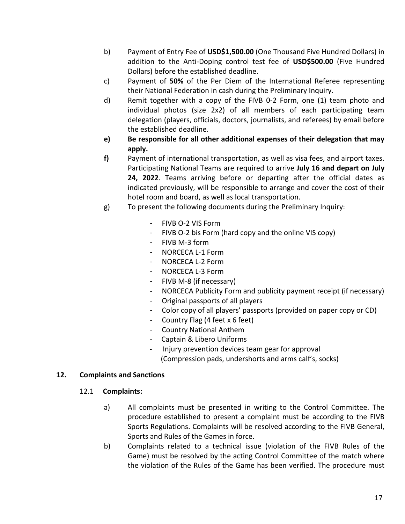- b) Payment of Entry Fee of **USD\$1,500.00** (One Thousand Five Hundred Dollars) in addition to the Anti-Doping control test fee of **USD\$500.00** (Five Hundred Dollars) before the established deadline.
- c) Payment of **50%** of the Per Diem of the International Referee representing their National Federation in cash during the Preliminary Inquiry.
- d) Remit together with a copy of the FIVB 0-2 Form, one (1) team photo and individual photos (size 2x2) of all members of each participating team delegation (players, officials, doctors, journalists, and referees) by email before the established deadline.
- **e) Be responsible for all other additional expenses of their delegation that may apply.**
- **f)** Payment of international transportation, as well as visa fees, and airport taxes. Participating National Teams are required to arrive **July 16 and depart on July 24, 2022**. Teams arriving before or departing after the official dates as indicated previously, will be responsible to arrange and cover the cost of their hotel room and board, as well as local transportation.
- g) To present the following documents during the Preliminary Inquiry:
	- FIVB O-2 VIS Form
	- FIVB O-2 bis Form (hard copy and the online VIS copy)
	- FIVB M-3 form
	- NORCECA L-1 Form
	- NORCECA L-2 Form
	- NORCECA L-3 Form
	- FIVB M-8 (if necessary)
	- NORCECA Publicity Form and publicity payment receipt (if necessary)
	- Original passports of all players
	- Color copy of all players' passports (provided on paper copy or CD)
	- Country Flag (4 feet x 6 feet)
	- Country National Anthem
	- Captain & Libero Uniforms
	- Injury prevention devices team gear for approval (Compression pads, undershorts and arms calf's, socks)

# **12. Complaints and Sanctions**

- 12.1 **Complaints:**
	- a) All complaints must be presented in writing to the Control Committee. The procedure established to present a complaint must be according to the FIVB Sports Regulations. Complaints will be resolved according to the FIVB General, Sports and Rules of the Games in force.
	- b) Complaints related to a technical issue (violation of the FIVB Rules of the Game) must be resolved by the acting Control Committee of the match where the violation of the Rules of the Game has been verified. The procedure must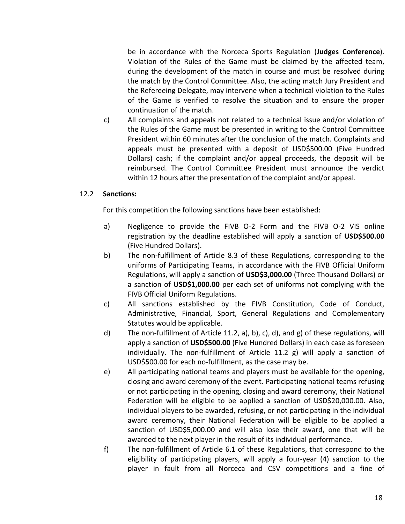be in accordance with the Norceca Sports Regulation (**Judges Conference**). Violation of the Rules of the Game must be claimed by the affected team, during the development of the match in course and must be resolved during the match by the Control Committee. Also, the acting match Jury President and the Refereeing Delegate, may intervene when a technical violation to the Rules of the Game is verified to resolve the situation and to ensure the proper continuation of the match.

c) All complaints and appeals not related to a technical issue and/or violation of the Rules of the Game must be presented in writing to the Control Committee President within 60 minutes after the conclusion of the match. Complaints and appeals must be presented with a deposit of USD\$500.00 (Five Hundred Dollars) cash; if the complaint and/or appeal proceeds, the deposit will be reimbursed. The Control Committee President must announce the verdict within 12 hours after the presentation of the complaint and/or appeal.

#### 12.2 **Sanctions:**

For this competition the following sanctions have been established:

- a) Negligence to provide the FIVB O-2 Form and the FIVB O-2 VIS online registration by the deadline established will apply a sanction of **USD\$500.00** (Five Hundred Dollars).
- b) The non-fulfillment of Article 8.3 of these Regulations, corresponding to the uniforms of Participating Teams, in accordance with the FIVB Official Uniform Regulations, will apply a sanction of **USD\$3,000.00** (Three Thousand Dollars) or a sanction of **USD\$1,000.00** per each set of uniforms not complying with the FIVB Official Uniform Regulations.
- c) All sanctions established by the FIVB Constitution, Code of Conduct, Administrative, Financial, Sport, General Regulations and Complementary Statutes would be applicable.
- d) The non-fulfillment of Article 11.2, a), b), c), d), and g) of these regulations, will apply a sanction of **USD\$500.00** (Five Hundred Dollars) in each case as foreseen individually. The non-fulfillment of Article 11.2 g) will apply a sanction of USD\$**5**00.00 for each no-fulfillment, as the case may be.
- e) All participating national teams and players must be available for the opening, closing and award ceremony of the event. Participating national teams refusing or not participating in the opening, closing and award ceremony, their National Federation will be eligible to be applied a sanction of USD\$20,000.00. Also, individual players to be awarded, refusing, or not participating in the individual award ceremony, their National Federation will be eligible to be applied a sanction of USD\$5,000.00 and will also lose their award, one that will be awarded to the next player in the result of its individual performance.
- f) The non-fulfillment of Article 6.1 of these Regulations, that correspond to the eligibility of participating players, will apply a four-year (4) sanction to the player in fault from all Norceca and CSV competitions and a fine of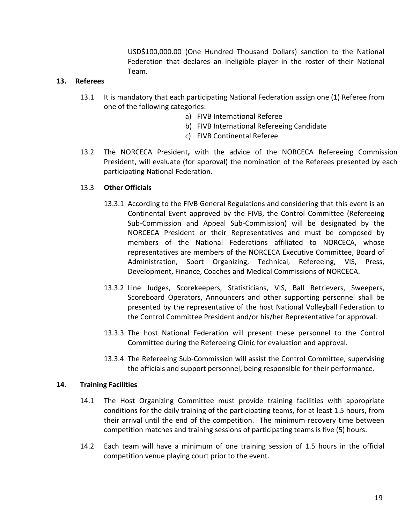USD\$100,000.00 (One Hundred Thousand Dollars) sanction to the National Federation that declares an ineligible player in the roster of their National Team.

### **13. Referees**

- 13.1 It is mandatory that each participating National Federation assign one (1) Referee from one of the following categories:
	- a) FIVB International Referee
	- b) FIVB International Refereeing Candidate
	- c) FIVB Continental Referee
- 13.2 The NORCECA President**,** with the advice of the NORCECA Refereeing Commission President, will evaluate (for approval) the nomination of the Referees presented by each participating National Federation.

### 13.3 **Other Officials**

- 13.3.1 According to the FIVB General Regulations and considering that this event is an Continental Event approved by the FIVB, the Control Committee (Refereeing Sub-Commission and Appeal Sub-Commission) will be designated by the NORCECA President or their Representatives and must be composed by members of the National Federations affiliated to NORCECA, whose representatives are members of the NORCECA Executive Committee, Board of Administration, Sport Organizing, Technical, Refereeing, VIS, Press, Development, Finance, Coaches and Medical Commissions of NORCECA.
- 13.3.2 Line Judges, Scorekeepers, Statisticians, VIS, Ball Retrievers, Sweepers, Scoreboard Operators, Announcers and other supporting personnel shall be presented by the representative of the host National Volleyball Federation to the Control Committee President and/or his/her Representative for approval.
- 13.3.3 The host National Federation will present these personnel to the Control Committee during the Refereeing Clinic for evaluation and approval.
- 13.3.4 The Refereeing Sub-Commission will assist the Control Committee, supervising the officials and support personnel, being responsible for their performance.

#### **14. Training Facilities**

- 14.1 The Host Organizing Committee must provide training facilities with appropriate conditions for the daily training of the participating teams, for at least 1.5 hours, from their arrival until the end of the competition. The minimum recovery time between competition matches and training sessions of participating teams is five (5) hours.
- 14.2 Each team will have a minimum of one training session of 1.5 hours in the official competition venue playing court prior to the event.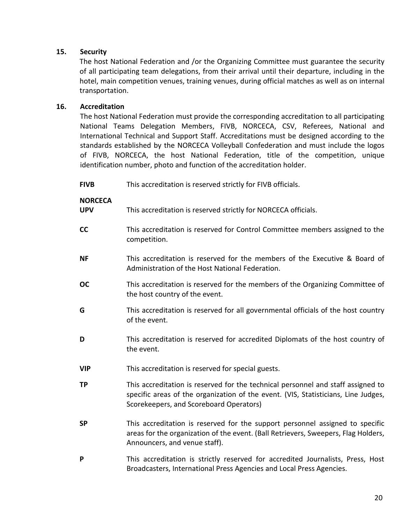### **15. Security**

The host National Federation and /or the Organizing Committee must guarantee the security of all participating team delegations, from their arrival until their departure, including in the hotel, main competition venues, training venues, during official matches as well as on internal transportation.

### **16. Accreditation**

The host National Federation must provide the corresponding accreditation to all participating National Teams Delegation Members, FIVB, NORCECA, CSV, Referees, National and International Technical and Support Staff. Accreditations must be designed according to the standards established by the NORCECA Volleyball Confederation and must include the logos of FIVB, NORCECA, the host National Federation, title of the competition, unique identification number, photo and function of the accreditation holder.

| <b>FIVB</b> | This accreditation is reserved strictly for FIVB officials. |
|-------------|-------------------------------------------------------------|
|             |                                                             |

#### **NORCECA**

- **UPV** This accreditation is reserved strictly for NORCECA officials.
- **CC** This accreditation is reserved for Control Committee members assigned to the competition.
- **NF** This accreditation is reserved for the members of the Executive & Board of Administration of the Host National Federation.
- **OC** This accreditation is reserved for the members of the Organizing Committee of the host country of the event.
- **G** This accreditation is reserved for all governmental officials of the host country of the event.
- **D** This accreditation is reserved for accredited Diplomats of the host country of the event.
- **VIP** This accreditation is reserved for special guests.
- **TP** This accreditation is reserved for the technical personnel and staff assigned to specific areas of the organization of the event. (VIS, Statisticians, Line Judges, Scorekeepers, and Scoreboard Operators)
- **SP** This accreditation is reserved for the support personnel assigned to specific areas for the organization of the event. (Ball Retrievers, Sweepers, Flag Holders, Announcers, and venue staff).
- **P** This accreditation is strictly reserved for accredited Journalists, Press, Host Broadcasters, International Press Agencies and Local Press Agencies.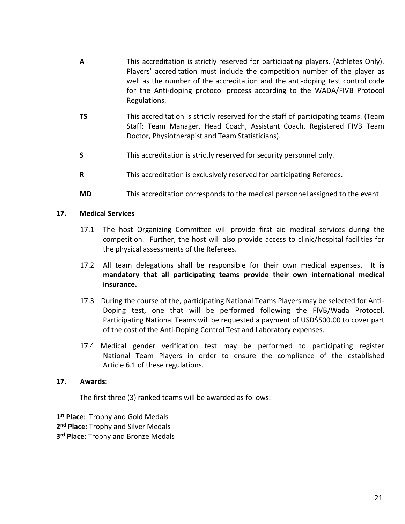- **A** This accreditation is strictly reserved for participating players. (Athletes Only). Players' accreditation must include the competition number of the player as well as the number of the accreditation and the anti-doping test control code for the Anti-doping protocol process according to the WADA/FIVB Protocol Regulations.
- **TS** This accreditation is strictly reserved for the staff of participating teams. (Team Staff: Team Manager, Head Coach, Assistant Coach, Registered FIVB Team Doctor, Physiotherapist and Team Statisticians).
- **S** This accreditation is strictly reserved for security personnel only.
- **R** This accreditation is exclusively reserved for participating Referees.
- **MD** This accreditation corresponds to the medical personnel assigned to the event.

#### **17. Medical Services**

- 17.1 The host Organizing Committee will provide first aid medical services during the competition. Further, the host will also provide access to clinic/hospital facilities for the physical assessments of the Referees.
- 17.2 All team delegations shall be responsible for their own medical expenses**. It is mandatory that all participating teams provide their own international medical insurance.**
- 17.3 During the course of the, participating National Teams Players may be selected for Anti-Doping test, one that will be performed following the FIVB/Wada Protocol. Participating National Teams will be requested a payment of USD\$500.00 to cover part of the cost of the Anti-Doping Control Test and Laboratory expenses.
- 17.4 Medical gender verification test may be performed to participating register National Team Players in order to ensure the compliance of the established Article 6.1 of these regulations.

#### **17. Awards:**

The first three (3) ranked teams will be awarded as follows:

**1 st Place**: Trophy and Gold Medals **2 nd Place**: Trophy and Silver Medals **3 rd Place**: Trophy and Bronze Medals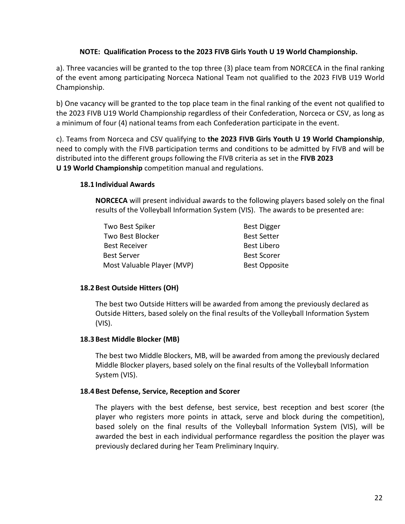### **NOTE: Qualification Process to the 2023 FIVB Girls Youth U 19 World Championship.**

a). Three vacancies will be granted to the top three (3) place team from NORCECA in the final ranking of the event among participating Norceca National Team not qualified to the 2023 FIVB U19 World Championship.

b) One vacancy will be granted to the top place team in the final ranking of the event not qualified to the 2023 FIVB U19 World Championship regardless of their Confederation, Norceca or CSV, as long as a minimum of four (4) national teams from each Confederation participate in the event.

c). Teams from Norceca and CSV qualifying to **the 2023 FIVB Girls Youth U 19 World Championship**, need to comply with the FIVB participation terms and conditions to be admitted by FIVB and will be distributed into the different groups following the FIVB criteria as set in the **FIVB 2023 U 19 World Championship** competition manual and regulations.

#### **18.1 Individual Awards**

**NORCECA** will present individual awards to the following players based solely on the final results of the Volleyball Information System (VIS). The awards to be presented are:

| Two Best Spiker            | <b>Best Digger</b>   |
|----------------------------|----------------------|
| Two Best Blocker           | <b>Best Setter</b>   |
| <b>Best Receiver</b>       | <b>Best Libero</b>   |
| <b>Best Server</b>         | <b>Best Scorer</b>   |
| Most Valuable Player (MVP) | <b>Best Opposite</b> |

# **18.2 Best Outside Hitters (OH)**

The best two Outside Hitters will be awarded from among the previously declared as Outside Hitters, based solely on the final results of the Volleyball Information System (VIS).

#### **18.3 Best Middle Blocker (MB)**

The best two Middle Blockers, MB, will be awarded from among the previously declared Middle Blocker players, based solely on the final results of the Volleyball Information System (VIS).

#### **18.4 Best Defense, Service, Reception and Scorer**

The players with the best defense, best service, best reception and best scorer (the player who registers more points in attack, serve and block during the competition), based solely on the final results of the Volleyball Information System (VIS), will be awarded the best in each individual performance regardless the position the player was previously declared during her Team Preliminary Inquiry.